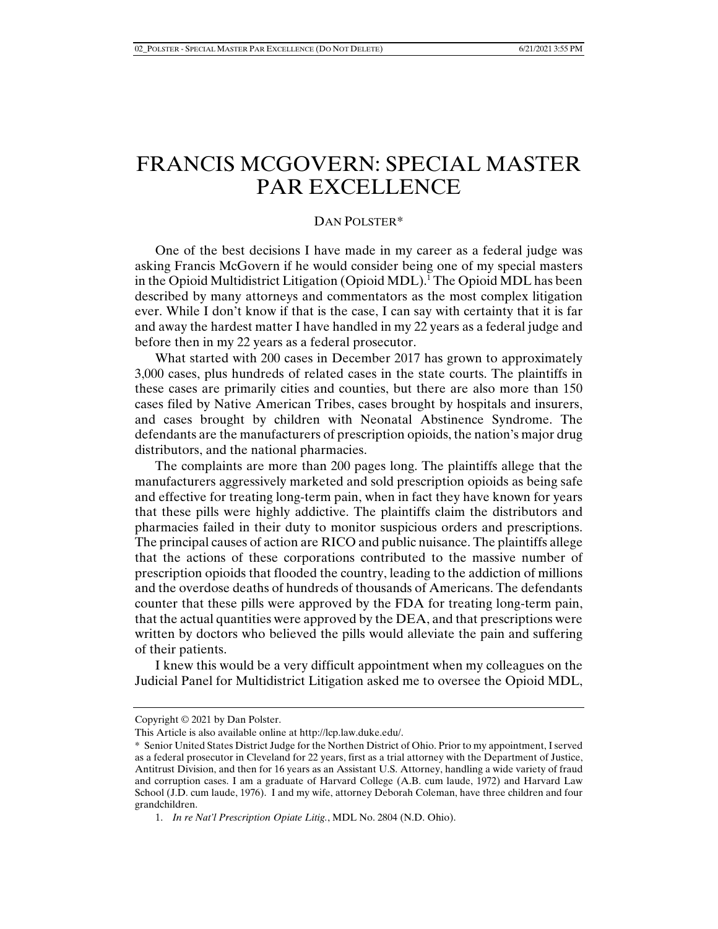## FRANCIS MCGOVERN: SPECIAL MASTER PAR EXCELLENCE

## DAN POLSTER\*

One of the best decisions I have made in my career as a federal judge was asking Francis McGovern if he would consider being one of my special masters in the Opioid Multidistrict Litigation (Opioid MDL).<sup>1</sup> The Opioid MDL has been described by many attorneys and commentators as the most complex litigation ever. While I don't know if that is the case, I can say with certainty that it is far and away the hardest matter I have handled in my 22 years as a federal judge and before then in my 22 years as a federal prosecutor.

What started with 200 cases in December 2017 has grown to approximately 3,000 cases, plus hundreds of related cases in the state courts. The plaintiffs in these cases are primarily cities and counties, but there are also more than 150 cases filed by Native American Tribes, cases brought by hospitals and insurers, and cases brought by children with Neonatal Abstinence Syndrome. The defendants are the manufacturers of prescription opioids, the nation's major drug distributors, and the national pharmacies.

The complaints are more than 200 pages long. The plaintiffs allege that the manufacturers aggressively marketed and sold prescription opioids as being safe and effective for treating long-term pain, when in fact they have known for years that these pills were highly addictive. The plaintiffs claim the distributors and pharmacies failed in their duty to monitor suspicious orders and prescriptions. The principal causes of action are RICO and public nuisance. The plaintiffs allege that the actions of these corporations contributed to the massive number of prescription opioids that flooded the country, leading to the addiction of millions and the overdose deaths of hundreds of thousands of Americans. The defendants counter that these pills were approved by the FDA for treating long-term pain, that the actual quantities were approved by the DEA, and that prescriptions were written by doctors who believed the pills would alleviate the pain and suffering of their patients.

I knew this would be a very difficult appointment when my colleagues on the Judicial Panel for Multidistrict Litigation asked me to oversee the Opioid MDL,

Copyright © 2021 by Dan Polster.

This Article is also available online at http://lcp.law.duke.edu/.

<sup>\*</sup> Senior United States District Judge for the Northen District of Ohio. Prior to my appointment, I served as a federal prosecutor in Cleveland for 22 years, first as a trial attorney with the Department of Justice, Antitrust Division, and then for 16 years as an Assistant U.S. Attorney, handling a wide variety of fraud and corruption cases. I am a graduate of Harvard College (A.B. cum laude, 1972) and Harvard Law School (J.D. cum laude, 1976). I and my wife, attorney Deborah Coleman, have three children and four grandchildren.

 <sup>1.</sup> *In re Nat'l Prescription Opiate Litig.*, MDL No. 2804 (N.D. Ohio).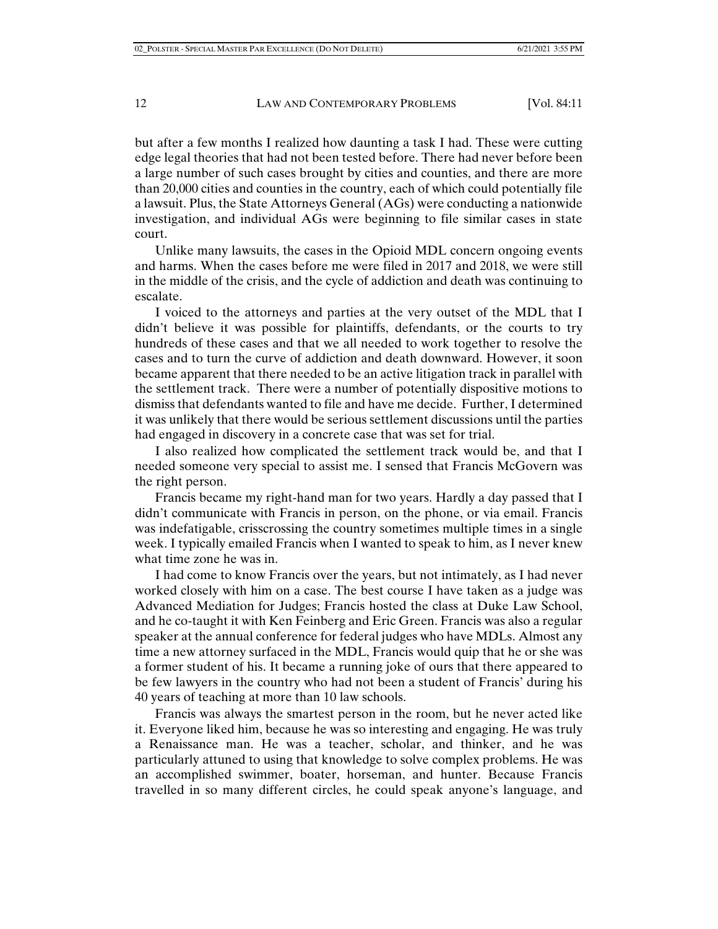but after a few months I realized how daunting a task I had. These were cutting edge legal theories that had not been tested before. There had never before been a large number of such cases brought by cities and counties, and there are more than 20,000 cities and counties in the country, each of which could potentially file a lawsuit. Plus, the State Attorneys General (AGs) were conducting a nationwide investigation, and individual AGs were beginning to file similar cases in state court.

Unlike many lawsuits, the cases in the Opioid MDL concern ongoing events and harms. When the cases before me were filed in 2017 and 2018, we were still in the middle of the crisis, and the cycle of addiction and death was continuing to escalate.

I voiced to the attorneys and parties at the very outset of the MDL that I didn't believe it was possible for plaintiffs, defendants, or the courts to try hundreds of these cases and that we all needed to work together to resolve the cases and to turn the curve of addiction and death downward. However, it soon became apparent that there needed to be an active litigation track in parallel with the settlement track. There were a number of potentially dispositive motions to dismiss that defendants wanted to file and have me decide. Further, I determined it was unlikely that there would be serious settlement discussions until the parties had engaged in discovery in a concrete case that was set for trial.

I also realized how complicated the settlement track would be, and that I needed someone very special to assist me. I sensed that Francis McGovern was the right person.

Francis became my right-hand man for two years. Hardly a day passed that I didn't communicate with Francis in person, on the phone, or via email. Francis was indefatigable, crisscrossing the country sometimes multiple times in a single week. I typically emailed Francis when I wanted to speak to him, as I never knew what time zone he was in.

I had come to know Francis over the years, but not intimately, as I had never worked closely with him on a case. The best course I have taken as a judge was Advanced Mediation for Judges; Francis hosted the class at Duke Law School, and he co-taught it with Ken Feinberg and Eric Green. Francis was also a regular speaker at the annual conference for federal judges who have MDLs. Almost any time a new attorney surfaced in the MDL, Francis would quip that he or she was a former student of his. It became a running joke of ours that there appeared to be few lawyers in the country who had not been a student of Francis' during his 40 years of teaching at more than 10 law schools.

Francis was always the smartest person in the room, but he never acted like it. Everyone liked him, because he was so interesting and engaging. He was truly a Renaissance man. He was a teacher, scholar, and thinker, and he was particularly attuned to using that knowledge to solve complex problems. He was an accomplished swimmer, boater, horseman, and hunter. Because Francis travelled in so many different circles, he could speak anyone's language, and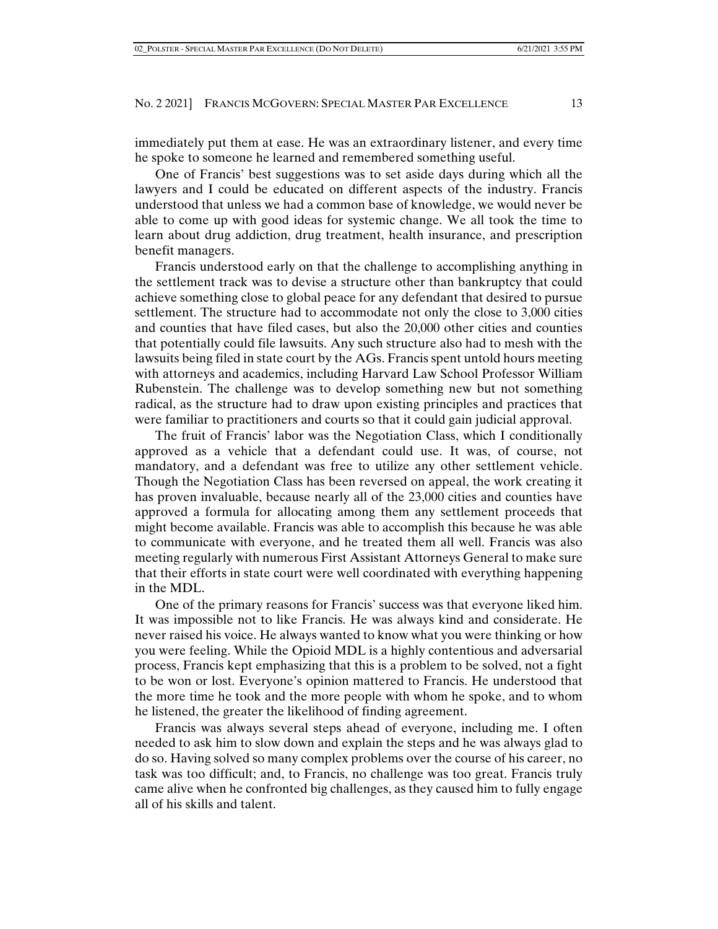immediately put them at ease. He was an extraordinary listener, and every time he spoke to someone he learned and remembered something useful.

One of Francis' best suggestions was to set aside days during which all the lawyers and I could be educated on different aspects of the industry. Francis understood that unless we had a common base of knowledge, we would never be able to come up with good ideas for systemic change. We all took the time to learn about drug addiction, drug treatment, health insurance, and prescription benefit managers.

Francis understood early on that the challenge to accomplishing anything in the settlement track was to devise a structure other than bankruptcy that could achieve something close to global peace for any defendant that desired to pursue settlement. The structure had to accommodate not only the close to 3,000 cities and counties that have filed cases, but also the 20,000 other cities and counties that potentially could file lawsuits. Any such structure also had to mesh with the lawsuits being filed in state court by the AGs. Francis spent untold hours meeting with attorneys and academics, including Harvard Law School Professor William Rubenstein. The challenge was to develop something new but not something radical, as the structure had to draw upon existing principles and practices that were familiar to practitioners and courts so that it could gain judicial approval.

The fruit of Francis' labor was the Negotiation Class, which I conditionally approved as a vehicle that a defendant could use. It was, of course, not mandatory, and a defendant was free to utilize any other settlement vehicle. Though the Negotiation Class has been reversed on appeal, the work creating it has proven invaluable, because nearly all of the 23,000 cities and counties have approved a formula for allocating among them any settlement proceeds that might become available. Francis was able to accomplish this because he was able to communicate with everyone, and he treated them all well. Francis was also meeting regularly with numerous First Assistant Attorneys General to make sure that their efforts in state court were well coordinated with everything happening in the MDL.

One of the primary reasons for Francis' success was that everyone liked him. It was impossible not to like Francis. He was always kind and considerate. He never raised his voice. He always wanted to know what you were thinking or how you were feeling. While the Opioid MDL is a highly contentious and adversarial process, Francis kept emphasizing that this is a problem to be solved, not a fight to be won or lost. Everyone's opinion mattered to Francis. He understood that the more time he took and the more people with whom he spoke, and to whom he listened, the greater the likelihood of finding agreement.

Francis was always several steps ahead of everyone, including me. I often needed to ask him to slow down and explain the steps and he was always glad to do so. Having solved so many complex problems over the course of his career, no task was too difficult; and, to Francis, no challenge was too great. Francis truly came alive when he confronted big challenges, as they caused him to fully engage all of his skills and talent.